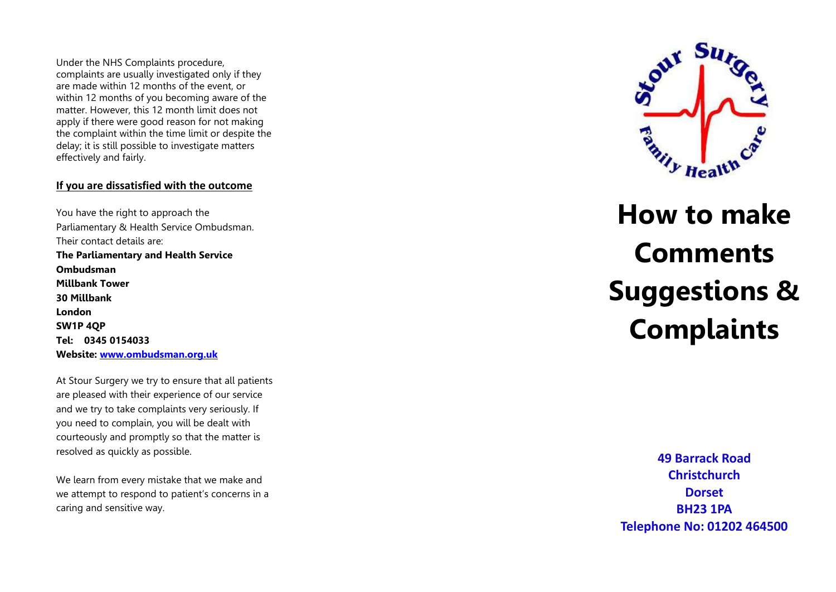Under the NHS Complaints procedure, complaints are usually investigated only if they are made within 12 months of the event, or within 12 months of you becoming aware of the matter. However, this 12 month limit does not apply if there were good reason for not making the complaint within the time limit or despite the delay; it is still possible to investigate matters effectively and fairly.

#### **If you are dissatisfied with the outcome**

You have the right to approach the Parliamentary & Health Service Ombudsman. Their contact details are: **The Parliamentary and Health Service Ombudsman Millbank Tower 30 Millbank London SW1P 4QP Tel: 0345 0154033 Website: [www.ombudsman.org.uk](http://www.ombudsman.org.uk/)**

At Stour Surgery we try to ensure that all patients are pleased with their experience of our service and we try to take complaints very seriously. If you need to complain, you will be dealt with courteously and promptly so that the matter is resolved as quickly as possible.

We learn from every mistake that we make and we attempt to respond to patient's concerns in a caring and sensitive way.



# **How to make Comments Suggestions & Complaints**

**49 Barrack Road Christchurch Dorset BH23 1PA Telephone No: 01202 464500**